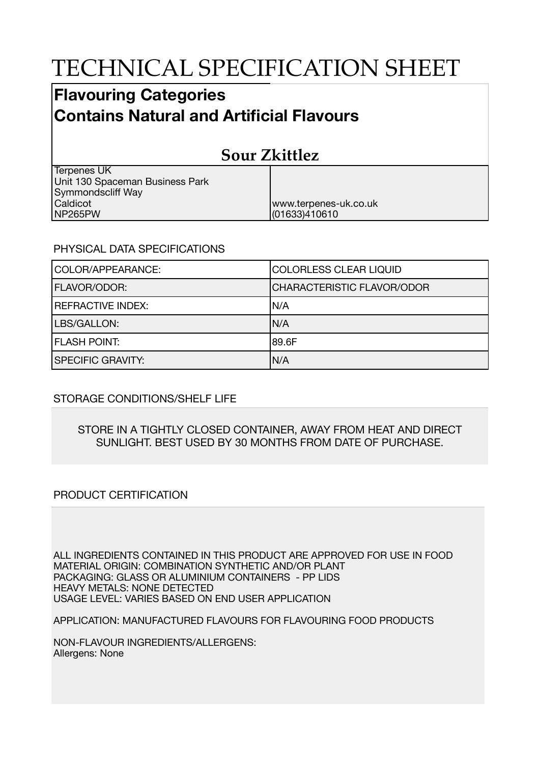# TECHNICAL SPECIFICATION SHEET

# **Flavouring Categories Contains Natural and Artificial Flavours**

# **Sour Zkittlez**

www.terpenes-uk.co.uk

(01633)410610

Terpenes UK Unit 130 Spaceman Business Park Symmondscliff Way Caldicot NP265PW

#### PHYSICAL DATA SPECIFICATIONS

| COLOR/APPEARANCE:        | COLORLESS CLEAR LIQUID            |
|--------------------------|-----------------------------------|
| <b>FLAVOR/ODOR:</b>      | <b>CHARACTERISTIC FLAVOR/ODOR</b> |
| <b>REFRACTIVE INDEX:</b> | IN/A                              |
| LBS/GALLON:              | N/A                               |
| <b>FLASH POINT:</b>      | 189.6F                            |
| <b>SPECIFIC GRAVITY:</b> | N/A                               |

## STORAGE CONDITIONS/SHELF LIFE

#### STORE IN A TIGHTLY CLOSED CONTAINER, AWAY FROM HEAT AND DIRECT SUNLIGHT. BEST USED BY 30 MONTHS FROM DATE OF PURCHASE.

## PRODUCT CERTIFICATION

ALL INGREDIENTS CONTAINED IN THIS PRODUCT ARE APPROVED FOR USE IN FOOD MATERIAL ORIGIN: COMBINATION SYNTHETIC AND/OR PLANT PACKAGING: GLASS OR ALUMINIUM CONTAINERS - PP LIDS HEAVY METALS: NONE DETECTED USAGE LEVEL: VARIES BASED ON END USER APPLICATION

APPLICATION: MANUFACTURED FLAVOURS FOR FLAVOURING FOOD PRODUCTS

NON-FLAVOUR INGREDIENTS/ALLERGENS: Allergens: None